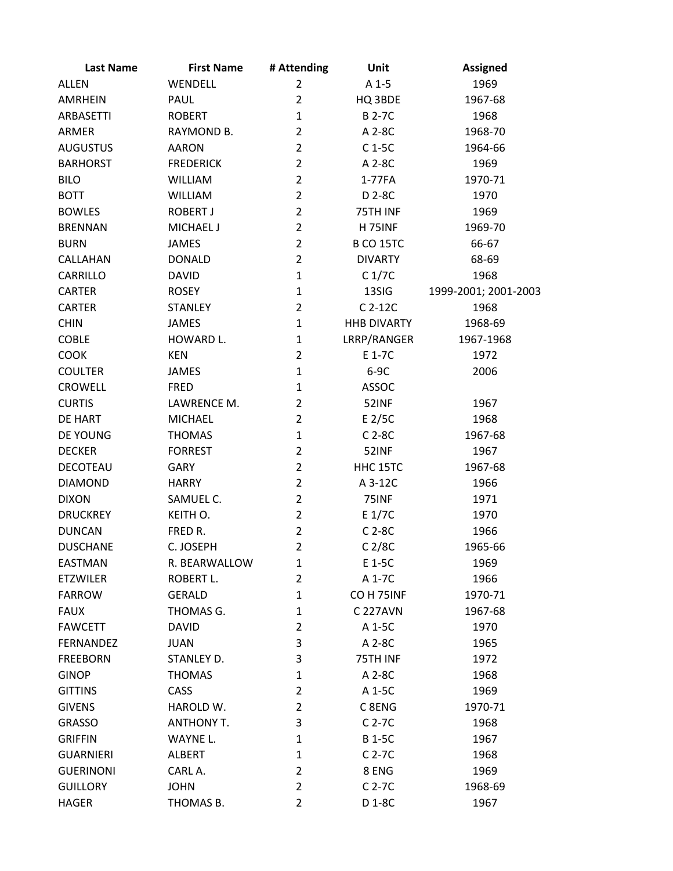| <b>Last Name</b> | <b>First Name</b> | # Attending    | Unit               | <b>Assigned</b>      |
|------------------|-------------------|----------------|--------------------|----------------------|
| <b>ALLEN</b>     | WENDELL           | $\overline{2}$ | $A1-5$             | 1969                 |
| <b>AMRHEIN</b>   | PAUL              | $\overline{2}$ | HQ 3BDE            | 1967-68              |
| ARBASETTI        | <b>ROBERT</b>     | $\mathbf{1}$   | <b>B2-7C</b>       | 1968                 |
| ARMER            | RAYMOND B.        | $\overline{2}$ | A 2-8C             | 1968-70              |
| <b>AUGUSTUS</b>  | <b>AARON</b>      | $\overline{2}$ | $C1-5C$            | 1964-66              |
| <b>BARHORST</b>  | <b>FREDERICK</b>  | $\overline{2}$ | A 2-8C             | 1969                 |
| <b>BILO</b>      | <b>WILLIAM</b>    | $\overline{2}$ | 1-77FA             | 1970-71              |
| <b>BOTT</b>      | <b>WILLIAM</b>    | $\overline{2}$ | D 2-8C             | 1970                 |
| <b>BOWLES</b>    | <b>ROBERT J</b>   | $\overline{2}$ | 75TH INF           | 1969                 |
| <b>BRENNAN</b>   | <b>MICHAEL J</b>  | $\overline{2}$ | <b>H 75INF</b>     | 1969-70              |
| <b>BURN</b>      | <b>JAMES</b>      | $\overline{2}$ | <b>B CO 15TC</b>   | 66-67                |
| CALLAHAN         | <b>DONALD</b>     | $\overline{2}$ | <b>DIVARTY</b>     | 68-69                |
| CARRILLO         | <b>DAVID</b>      | $\mathbf{1}$   | C <sub>1</sub> /7C | 1968                 |
| <b>CARTER</b>    | <b>ROSEY</b>      | $\mathbf{1}$   | 13SIG              | 1999-2001; 2001-2003 |
| <b>CARTER</b>    | <b>STANLEY</b>    | $\overline{2}$ | $C$ 2-12 $C$       | 1968                 |
| <b>CHIN</b>      | <b>JAMES</b>      | $\mathbf{1}$   | <b>HHB DIVARTY</b> | 1968-69              |
| <b>COBLE</b>     | HOWARD L.         | $\mathbf{1}$   | LRRP/RANGER        | 1967-1968            |
| <b>COOK</b>      | <b>KEN</b>        | $\overline{2}$ | E 1-7C             | 1972                 |
| <b>COULTER</b>   | JAMES             | $\mathbf{1}$   | $6-9C$             | 2006                 |
| <b>CROWELL</b>   | <b>FRED</b>       | $\mathbf{1}$   | <b>ASSOC</b>       |                      |
| <b>CURTIS</b>    | LAWRENCE M.       | $\overline{2}$ | 52INF              | 1967                 |
| DE HART          | <b>MICHAEL</b>    | $\overline{2}$ | $E$ 2/5C           | 1968                 |
| DE YOUNG         | <b>THOMAS</b>     | $\mathbf{1}$   | $C$ 2-8 $C$        | 1967-68              |
| <b>DECKER</b>    | <b>FORREST</b>    | $\overline{2}$ | 52INF              | 1967                 |
| DECOTEAU         | <b>GARY</b>       | $\overline{2}$ | HHC 15TC           | 1967-68              |
| <b>DIAMOND</b>   | <b>HARRY</b>      | $\overline{2}$ | A 3-12C            | 1966                 |
| <b>DIXON</b>     | SAMUEL C.         | $\overline{2}$ | 75INF              | 1971                 |
| <b>DRUCKREY</b>  | KEITH O.          | $\overline{2}$ | E 1/7C             | 1970                 |
| <b>DUNCAN</b>    | FRED R.           | $\overline{2}$ | $C$ 2-8 $C$        | 1966                 |
| <b>DUSCHANE</b>  | C. JOSEPH         | $\overline{2}$ | C <sub>2/8C</sub>  | 1965-66              |
| EASTMAN          | R. BEARWALLOW     | 1              | E 1-5C             | 1969                 |
| <b>ETZWILER</b>  | ROBERT L.         | $\overline{2}$ | A 1-7C             | 1966                 |
| <b>FARROW</b>    | <b>GERALD</b>     | $\mathbf{1}$   | CO H 75INF         | 1970-71              |
| <b>FAUX</b>      | THOMAS G.         | 1              | C 227AVN           | 1967-68              |
| <b>FAWCETT</b>   | <b>DAVID</b>      | $\overline{2}$ | A 1-5C             | 1970                 |
| <b>FERNANDEZ</b> | JUAN              | 3              | A 2-8C             | 1965                 |
| <b>FREEBORN</b>  | STANLEY D.        | 3              | 75TH INF           | 1972                 |
| <b>GINOP</b>     | <b>THOMAS</b>     | $\mathbf{1}$   | A 2-8C             | 1968                 |
| <b>GITTINS</b>   | CASS              | $\overline{2}$ | A 1-5C             | 1969                 |
| <b>GIVENS</b>    | HAROLD W.         | $\overline{2}$ | C <sub>8ENG</sub>  | 1970-71              |
| <b>GRASSO</b>    | <b>ANTHONY T.</b> | 3              | $C$ 2-7 $C$        | 1968                 |
| <b>GRIFFIN</b>   | WAYNE L.          | 1              | <b>B</b> 1-5C      | 1967                 |
| <b>GUARNIERI</b> | <b>ALBERT</b>     | 1              | $C$ 2-7 $C$        | 1968                 |
| <b>GUERINONI</b> | CARL A.           | $\overline{2}$ | 8 ENG              | 1969                 |
| <b>GUILLORY</b>  | <b>JOHN</b>       | $\overline{2}$ | $C$ 2-7 $C$        | 1968-69              |
| <b>HAGER</b>     | THOMAS B.         | $\overline{2}$ | D 1-8C             | 1967                 |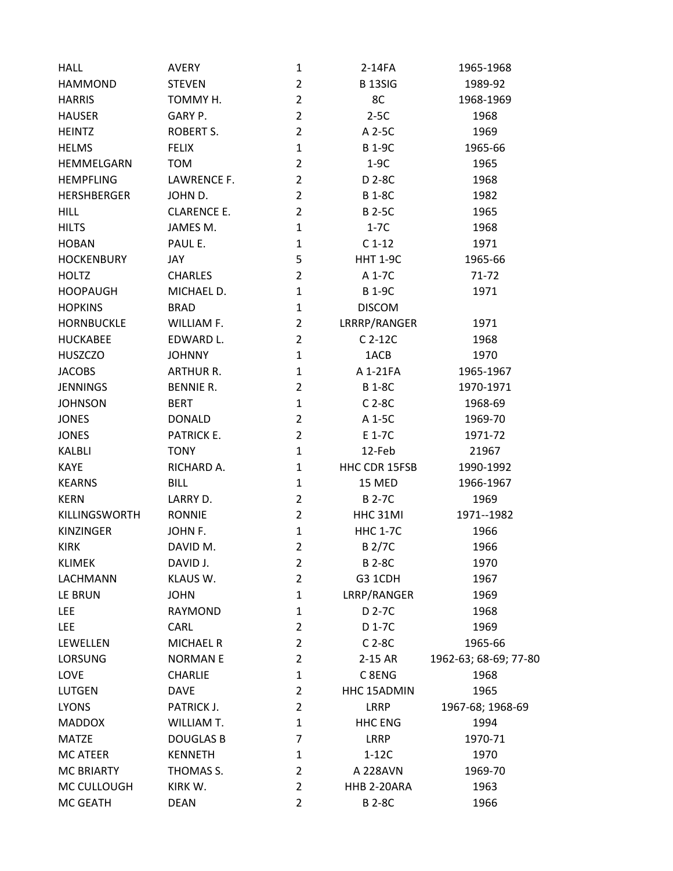| <b>HALL</b>        | <b>AVERY</b>       | 1              | 2-14FA                   | 1965-1968             |  |
|--------------------|--------------------|----------------|--------------------------|-----------------------|--|
| <b>HAMMOND</b>     | <b>STEVEN</b>      | $\overline{2}$ | <b>B13SIG</b><br>1989-92 |                       |  |
| <b>HARRIS</b>      | TOMMY H.           | $\overline{2}$ | 8C                       | 1968-1969             |  |
| <b>HAUSER</b>      | GARY P.            | $\overline{2}$ | $2-5C$                   | 1968                  |  |
| <b>HEINTZ</b>      | ROBERT S.          | $\overline{2}$ | A 2-5C                   | 1969                  |  |
| <b>HELMS</b>       | <b>FELIX</b>       | $\mathbf{1}$   | <b>B</b> 1-9C            | 1965-66               |  |
| HEMMELGARN         | <b>TOM</b>         | $\overline{2}$ | $1-9C$                   | 1965                  |  |
| <b>HEMPFLING</b>   | LAWRENCE F.        | $\overline{2}$ | D 2-8C                   | 1968                  |  |
| <b>HERSHBERGER</b> | JOHN D.            | $\overline{2}$ | <b>B1-8C</b>             | 1982                  |  |
| <b>HILL</b>        | <b>CLARENCE E.</b> | $\overline{2}$ | <b>B2-5C</b>             | 1965                  |  |
| <b>HILTS</b>       | JAMES M.           | 1              | $1-7C$                   | 1968                  |  |
| <b>HOBAN</b>       | PAUL E.            | $\mathbf{1}$   | $C1-12$                  | 1971                  |  |
| <b>HOCKENBURY</b>  | JAY                | 5              | <b>HHT 1-9C</b>          | 1965-66               |  |
| <b>HOLTZ</b>       | <b>CHARLES</b>     | $\overline{2}$ | A 1-7C                   | $71 - 72$             |  |
| <b>HOOPAUGH</b>    | MICHAEL D.         | $\mathbf{1}$   | <b>B1-9C</b>             | 1971                  |  |
| <b>HOPKINS</b>     | <b>BRAD</b>        | 1              | <b>DISCOM</b>            |                       |  |
| <b>HORNBUCKLE</b>  | WILLIAM F.         | $\overline{2}$ | LRRRP/RANGER             | 1971                  |  |
| <b>HUCKABEE</b>    | EDWARD L.          | $\overline{2}$ | $C$ 2-12 $C$             | 1968                  |  |
| <b>HUSZCZO</b>     | <b>JOHNNY</b>      | $\mathbf{1}$   | 1ACB                     | 1970                  |  |
| <b>JACOBS</b>      | <b>ARTHUR R.</b>   | 1              | A 1-21FA                 | 1965-1967             |  |
| <b>JENNINGS</b>    | <b>BENNIE R.</b>   | $\overline{2}$ | <b>B1-8C</b>             | 1970-1971             |  |
| <b>JOHNSON</b>     | <b>BERT</b>        | $\mathbf{1}$   | $C$ 2-8 $C$              | 1968-69               |  |
| <b>JONES</b>       | <b>DONALD</b>      | $\overline{2}$ | A 1-5C                   | 1969-70               |  |
| <b>JONES</b>       | <b>PATRICK E.</b>  | $\overline{2}$ | E 1-7C                   | 1971-72               |  |
| KALBLI             | <b>TONY</b>        | 1              | 12-Feb                   | 21967                 |  |
| <b>KAYE</b>        | RICHARD A.         | $\mathbf{1}$   | HHC CDR 15FSB            | 1990-1992             |  |
| <b>KEARNS</b>      | <b>BILL</b>        | 1              | 15 MED                   | 1966-1967             |  |
| <b>KERN</b>        | LARRY D.           | $\overline{2}$ | <b>B2-7C</b>             | 1969                  |  |
| KILLINGSWORTH      | <b>RONNIE</b>      | $\overline{2}$ | HHC 31MI                 | 1971--1982            |  |
| <b>KINZINGER</b>   | JOHN F.            | 1              | <b>HHC 1-7C</b>          | 1966                  |  |
| <b>KIRK</b>        | DAVID M.           | $\overline{2}$ | <b>B2/7C</b>             | 1966                  |  |
| <b>KLIMEK</b>      | DAVID J.           | $\overline{2}$ | <b>B2-8C</b>             | 1970                  |  |
| LACHMANN           | KLAUS W.           | $\overline{2}$ | G3 1CDH                  | 1967                  |  |
| LE BRUN            | <b>JOHN</b>        | $\mathbf{1}$   | LRRP/RANGER              | 1969                  |  |
| <b>LEE</b>         | <b>RAYMOND</b>     | 1              | D 2-7C                   | 1968                  |  |
| <b>LEE</b>         | CARL               | $\overline{2}$ | D 1-7C                   | 1969                  |  |
| LEWELLEN           | <b>MICHAEL R</b>   | $\overline{2}$ | $C$ 2-8 $C$              | 1965-66               |  |
| <b>LORSUNG</b>     | <b>NORMANE</b>     | $\overline{2}$ | 2-15 AR                  | 1962-63; 68-69; 77-80 |  |
| LOVE               | <b>CHARLIE</b>     | $\mathbf{1}$   | C 8ENG                   | 1968                  |  |
| <b>LUTGEN</b>      | <b>DAVE</b>        | $\overline{2}$ | HHC 15ADMIN              | 1965                  |  |
| <b>LYONS</b>       | PATRICK J.         | $\overline{2}$ | LRRP                     | 1967-68; 1968-69      |  |
| <b>MADDOX</b>      | WILLIAM T.         | 1              | <b>HHC ENG</b>           | 1994                  |  |
| <b>MATZE</b>       | <b>DOUGLAS B</b>   | 7              | LRRP                     | 1970-71               |  |
| <b>MC ATEER</b>    | <b>KENNETH</b>     | $\mathbf{1}$   | $1-12C$                  | 1970                  |  |
| <b>MC BRIARTY</b>  | THOMAS S.          | $\overline{2}$ | A 228AVN                 | 1969-70               |  |
| MC CULLOUGH        | KIRK W.            | $\overline{2}$ | HHB 2-20ARA              | 1963                  |  |
| MC GEATH           | <b>DEAN</b>        | $\overline{2}$ | <b>B2-8C</b>             | 1966                  |  |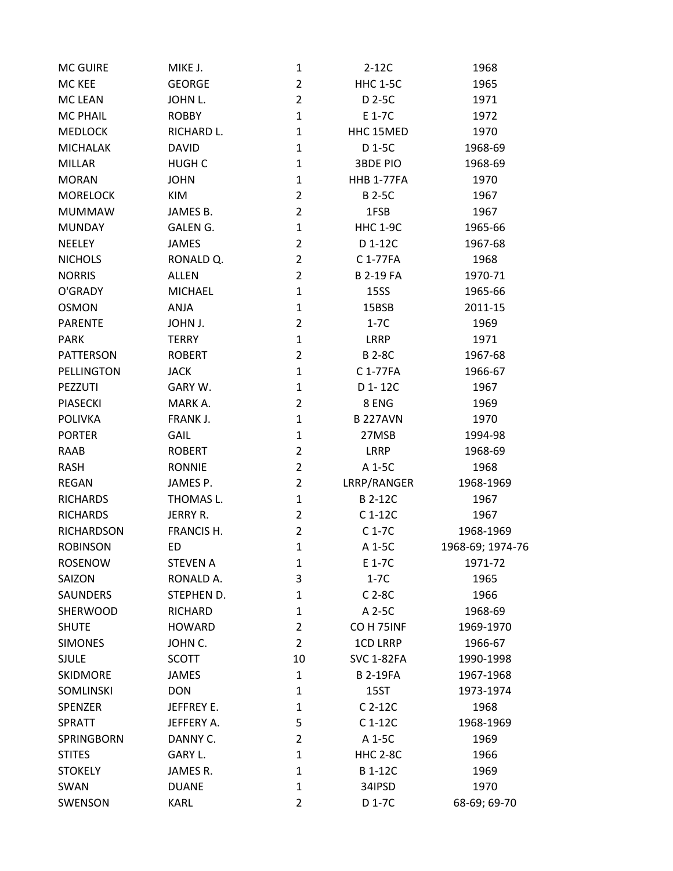| <b>MC GUIRE</b>  | MIKE J.         | $\mathbf{1}$   | $2-12C$               | 1968             |
|------------------|-----------------|----------------|-----------------------|------------------|
| MC KEE           | <b>GEORGE</b>   | $\overline{2}$ | <b>HHC 1-5C</b>       | 1965             |
| <b>MC LEAN</b>   | JOHN L.         | $\overline{2}$ | D 2-5C                | 1971             |
| <b>MC PHAIL</b>  | <b>ROBBY</b>    | $\mathbf 1$    | E 1-7C                | 1972             |
| <b>MEDLOCK</b>   | RICHARD L.      | $\mathbf{1}$   | HHC 15MED             | 1970             |
| <b>MICHALAK</b>  | <b>DAVID</b>    | $\mathbf{1}$   | D 1-5C                | 1968-69          |
| <b>MILLAR</b>    | <b>HUGH C</b>   | 1              | <b>3BDE PIO</b>       | 1968-69          |
| <b>MORAN</b>     | <b>JOHN</b>     | $\mathbf{1}$   | <b>HHB 1-77FA</b>     | 1970             |
| <b>MORELOCK</b>  | KIM             | $\overline{2}$ | <b>B2-5C</b>          | 1967             |
| <b>MUMMAW</b>    | JAMES B.        | $\overline{2}$ | 1FSB                  | 1967             |
| <b>MUNDAY</b>    | <b>GALEN G.</b> | $\mathbf{1}$   | <b>HHC 1-9C</b>       | 1965-66          |
| NEELEY           | <b>JAMES</b>    | $\overline{2}$ | D 1-12C               | 1967-68          |
| <b>NICHOLS</b>   | RONALD Q.       | $\overline{2}$ | C 1-77FA              | 1968             |
| <b>NORRIS</b>    | <b>ALLEN</b>    | $\overline{2}$ | <b>B 2-19 FA</b>      | 1970-71          |
| O'GRADY          | <b>MICHAEL</b>  | $\mathbf{1}$   | <b>15SS</b>           | 1965-66          |
| <b>OSMON</b>     | ANJA            | 1              | 15BSB                 | 2011-15          |
| <b>PARENTE</b>   | JOHN J.         | $\overline{2}$ | $1-7C$                | 1969             |
| <b>PARK</b>      | <b>TERRY</b>    | $\mathbf{1}$   | LRRP                  | 1971             |
| PATTERSON        | <b>ROBERT</b>   | $\overline{2}$ | <b>B2-8C</b>          | 1967-68          |
| PELLINGTON       | <b>JACK</b>     | $\mathbf 1$    | C 1-77FA              | 1966-67          |
| PEZZUTI          | GARY W.         | $\mathbf{1}$   | D 1-12C               | 1967             |
| <b>PIASECKI</b>  | MARK A.         | $\overline{2}$ | 8 ENG                 | 1969             |
| <b>POLIVKA</b>   | FRANK J.        | 1              | <b>B227AVN</b>        | 1970             |
| <b>PORTER</b>    | GAIL            | 1              | 27MSB                 | 1994-98          |
| RAAB             | <b>ROBERT</b>   | $\overline{2}$ | <b>LRRP</b>           | 1968-69          |
| <b>RASH</b>      | <b>RONNIE</b>   | $\overline{2}$ | A 1-5C                | 1968             |
| <b>REGAN</b>     | JAMES P.        | $\overline{2}$ | LRRP/RANGER           | 1968-1969        |
| <b>RICHARDS</b>  | THOMAS L.       | $\mathbf{1}$   | B 2-12C               | 1967             |
| <b>RICHARDS</b>  | JERRY R.        | $\overline{2}$ | C 1-12C               | 1967             |
| RICHARDSON       | FRANCIS H.      | $\overline{2}$ | $C1-7C$               | 1968-1969        |
| <b>ROBINSON</b>  | <b>ED</b>       | $\mathbf{1}$   | A 1-5C                | 1968-69; 1974-76 |
| <b>ROSENOW</b>   | <b>STEVEN A</b> | 1              | E 1-7C                | 1971-72          |
| SAIZON           | RONALD A.       | 3              | $1-7C$                | 1965             |
| SAUNDERS         | STEPHEN D.      | 1              | $C$ 2-8 $C$           | 1966             |
| SHERWOOD         | <b>RICHARD</b>  | 1              | A 2-5C                | 1968-69          |
| <b>SHUTE</b>     | <b>HOWARD</b>   | $\overline{2}$ | CO <sub>H</sub> 75INF | 1969-1970        |
| <b>SIMONES</b>   | JOHN C.         | $\overline{2}$ | <b>1CD LRRP</b>       | 1966-67          |
| <b>SJULE</b>     | <b>SCOTT</b>    | 10             | <b>SVC 1-82FA</b>     | 1990-1998        |
| <b>SKIDMORE</b>  | <b>JAMES</b>    | $\mathbf{1}$   | <b>B2-19FA</b>        | 1967-1968        |
| <b>SOMLINSKI</b> | <b>DON</b>      | 1              | 15ST                  | 1973-1974        |
| <b>SPENZER</b>   | JEFFREY E.      | 1              | $C$ 2-12 $C$          | 1968             |
| <b>SPRATT</b>    | JEFFERY A.      | 5              | $C1-12C$              | 1968-1969        |
| SPRINGBORN       | DANNY C.        | $\overline{2}$ | A 1-5C                | 1969             |
| <b>STITES</b>    | GARY L.         | 1              | <b>HHC 2-8C</b>       | 1966             |
| <b>STOKELY</b>   | JAMES R.        | 1              | <b>B1-12C</b>         | 1969             |
| SWAN             | <b>DUANE</b>    | 1              | 34IPSD                | 1970             |
| SWENSON          | <b>KARL</b>     | 2              | D 1-7C                | 68-69; 69-70     |